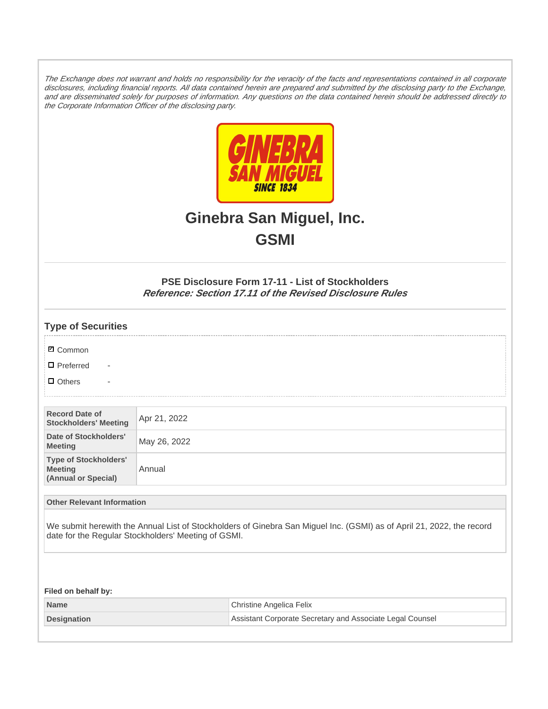The Exchange does not warrant and holds no responsibility for the veracity of the facts and representations contained in all corporate disclosures, including financial reports. All data contained herein are prepared and submitted by the disclosing party to the Exchange, and are disseminated solely for purposes of information. Any questions on the data contained herein should be addressed directly to the Corporate Information Officer of the disclosing party.



# **Ginebra San Miguel, Inc. GSMI**

# **PSE Disclosure Form 17-11 - List of Stockholders Reference: Section 17.11 of the Revised Disclosure Rules**

| <b>Type of Securities</b>                                             |                                                     |                                                                                                                       |
|-----------------------------------------------------------------------|-----------------------------------------------------|-----------------------------------------------------------------------------------------------------------------------|
| <b>Ø</b> Common                                                       |                                                     |                                                                                                                       |
| $\Box$ Preferred<br>$\overline{\phantom{a}}$                          |                                                     |                                                                                                                       |
| $\Box$ Others                                                         |                                                     |                                                                                                                       |
|                                                                       |                                                     |                                                                                                                       |
| <b>Record Date of</b><br><b>Stockholders' Meeting</b>                 | Apr 21, 2022                                        |                                                                                                                       |
| Date of Stockholders'<br><b>Meeting</b>                               | May 26, 2022                                        |                                                                                                                       |
| <b>Type of Stockholders'</b><br><b>Meeting</b><br>(Annual or Special) | Annual                                              |                                                                                                                       |
| <b>Other Relevant Information</b>                                     |                                                     |                                                                                                                       |
|                                                                       | date for the Regular Stockholders' Meeting of GSMI. | We submit herewith the Annual List of Stockholders of Ginebra San Miguel Inc. (GSMI) as of April 21, 2022, the record |
| Filed on behalf by:                                                   |                                                     |                                                                                                                       |
| <b>Name</b>                                                           |                                                     | Christine Angelica Felix                                                                                              |
| <b>Designation</b>                                                    |                                                     | Assistant Corporate Secretary and Associate Legal Counsel                                                             |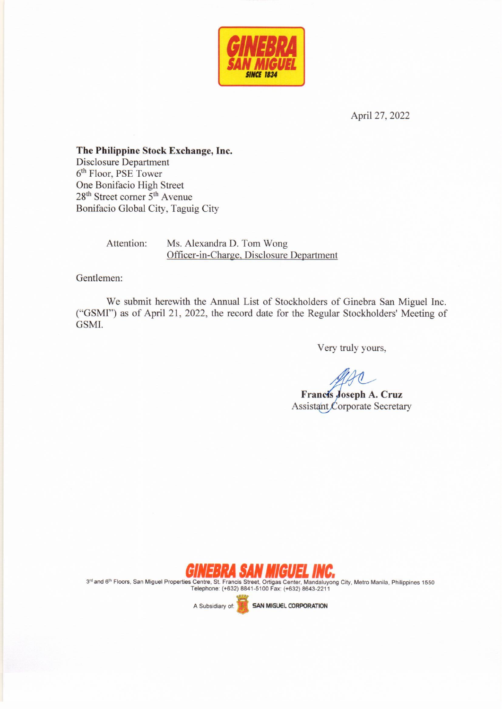

April 27, 2022

The Philippine Stock Exchange, Inc. **Disclosure Department** 6<sup>th</sup> Floor, PSE Tower One Bonifacio High Street 28<sup>th</sup> Street corner 5<sup>th</sup> Avenue Bonifacio Global City, Taguig City

Attention:

Ms. Alexandra D. Tom Wong Officer-in-Charge, Disclosure Department

Gentlemen:

We submit herewith the Annual List of Stockholders of Ginebra San Miguel Inc. ("GSMI") as of April 21, 2022, the record date for the Regular Stockholders' Meeting of GSMI.

Very truly yours,

Francis Joseph A. Cruz Assistant Corporate Secretary



3rd and 6<sup>th</sup> Floors, San Miguel Properties Centre, St. Francis Street, Ortigas Center, Mandaluyong City, Metro Manila, Philippines 1550 Telephone: (+632) 8841-5100 Fax: (+632) 8643-2211

A Subsidiary of:

**SAN MIGUEL CORPORATION**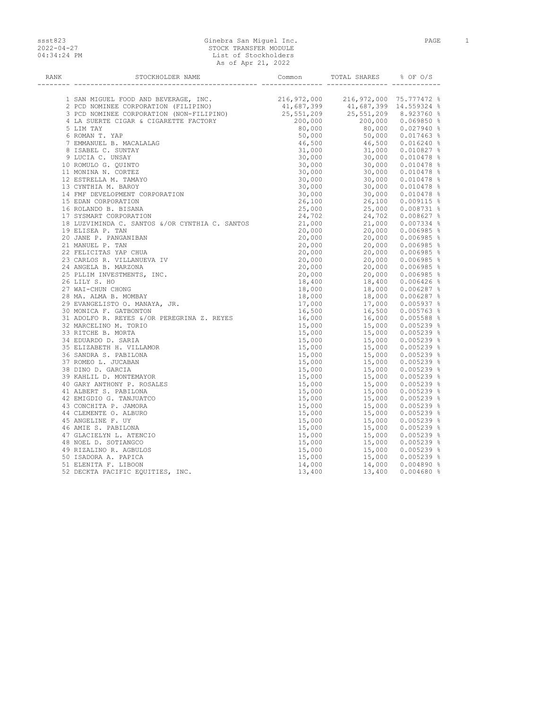# ssst823 Ginebra San Miguel Inc. PAGE 1 2022-04-27 STOCK TRANSFER MODULE 04:34:24 PM List of Stockholders As of Apr 21, 2022

| RANK | STOCKHOLDER NAME                                                         | Common           | TOTAL SHARES % OF O/S |  |
|------|--------------------------------------------------------------------------|------------------|-----------------------|--|
|      | -- --------------------------                                            |                  | -------- ----------   |  |
|      |                                                                          |                  |                       |  |
|      |                                                                          |                  |                       |  |
|      |                                                                          |                  |                       |  |
|      |                                                                          |                  |                       |  |
|      |                                                                          |                  |                       |  |
|      | 6 ROMAN T. YAP                                                           | 50,000           |                       |  |
|      | 7 EMMANUEL B. MACALALAG                                                  | 46,500           |                       |  |
|      | 8 ISABEL C. SUNTAY                                                       | 31,000           |                       |  |
|      | 9 LUCIA C. UNSAY                                                         | 30,000           |                       |  |
|      | 10 ROMULO G. OUINTO                                                      | 30,000           |                       |  |
|      | 11 MONINA N. CORTEZ                                                      | 30,000           |                       |  |
|      | TON<br>R CYNTHIA C. SANTOS<br>12 ESTRELLA M. TAMAYO                      | 30,000           |                       |  |
|      | 13 CYNTHIA M. BAROY                                                      | 30,000           |                       |  |
|      | 14 FMF DEVELOPMENT CORPORATION                                           | 30,000           |                       |  |
|      | 15 EDAN CORPORATION                                                      | 26,100           |                       |  |
|      | 16 ROLANDO B. BISANA                                                     | 25,000           |                       |  |
|      | 17 SYSMART CORPORATION                                                   | 24,702           |                       |  |
|      | 17 SISTARI CONFORMITOR<br>18 LUZVIMINDA C. SANTOS &/OR CYNTHIA C. SANTOS | 24,702<br>21,000 |                       |  |
|      | 19 ELISEA P. TAN                                                         | 20,000           |                       |  |
|      | 20 JANE P. PANGANIBAN                                                    | 20,000           |                       |  |
|      | 21 MANUEL P. TAN                                                         | 20,000           |                       |  |
|      | 22 FELICITAS YAP CHUA                                                    | 20,000           |                       |  |
|      | 23 CARLOS R. VILLANUEVA IV                                               | 20,000           |                       |  |
|      | 24 ANGELA B. MARZONA                                                     | 20,000           |                       |  |
|      | 25 PLLIM INVESTMENTS, INC.                                               | 20,000           |                       |  |
|      | 26 LILY S. HO                                                            | 18,400           |                       |  |
|      | 27 WAI-CHUN CHONG                                                        | 18,000           |                       |  |
|      | 28 MA. ALMA B. MOMBAY                                                    | 18,000           |                       |  |
|      | 29 EVANGELISTO O. MANAYA, JR.                                            | 17,000           |                       |  |
|      | 30 MONICA F. GATBONTON                                                   | 16,500           |                       |  |
|      | 30 MUNICA F. GAIBUNION<br>31 ADOLFO R. REYES &/OR PEREGRINA Z. REYES     | 16,000           |                       |  |
|      | 32 MARCELINO M. TORIO                                                    | 15,000           |                       |  |
|      | 33 RITCHE B. MORTA                                                       | 15,000           |                       |  |
|      | 34 EDUARDO D. SARIA                                                      | 15,000           |                       |  |
|      | 35 ELIZABETH H. VILLAMOR                                                 | 15,000           |                       |  |
|      | 36 SANDRA S. PABILONA                                                    | 15,000           |                       |  |
|      | 37 ROMEO L. JUCABAN                                                      | 15,000           |                       |  |
|      | 38 DINO D. GARCIA                                                        | 15,000           |                       |  |
|      | 39 KAHLIL D. MONTEMAYOR                                                  | 15,000           |                       |  |
|      | 40 GARY ANTHONY P. ROSALES                                               | 15,000           |                       |  |
|      | 41 ALBERT S. PABILONA                                                    | 15,000           |                       |  |
|      | 42 EMIGDIO G. TANJUATCO                                                  | 15,000           |                       |  |
|      | 43 CONCHITA P. JAMORA                                                    | 15,000           |                       |  |
|      | 44 CLEMENTE O. ALBURO                                                    | 15,000           |                       |  |
|      | 45 ANGELINE F. UY                                                        | 15,000           |                       |  |
|      | 46 AMIE S. PABILONA                                                      | 15,000           |                       |  |
|      | 47 GLACIELYN L. ATENCIO                                                  | 15,000           |                       |  |
|      | 48 NOEL D. SOTIANGCO                                                     | 15,000           |                       |  |
|      | 49 RIZALINO R. AGBULOS                                                   | 15,000           |                       |  |
|      | 50 ISADORA A. PAPICA                                                     |                  |                       |  |
|      | 51 ELENITA F. LIBOON                                                     | 15,000<br>14,000 |                       |  |
|      | 52 DECKTA PACIFIC EQUITIES, INC.                                         | 13,400           |                       |  |
|      |                                                                          |                  |                       |  |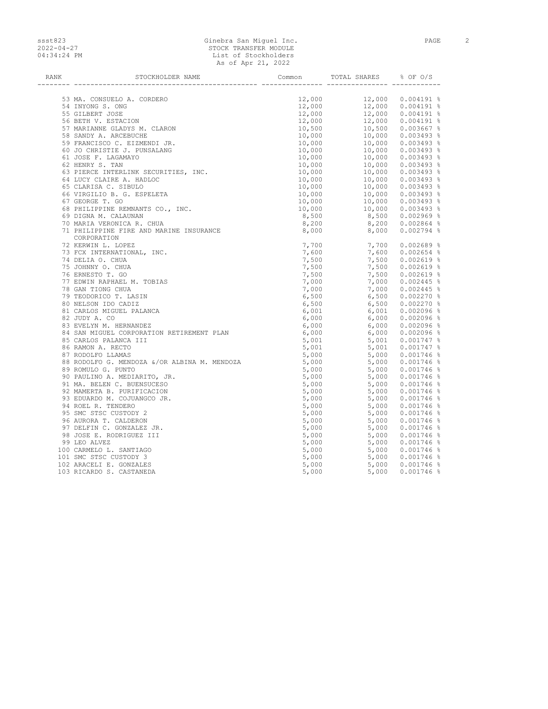### ssst823 Ginebra San Miguel Inc. PAGE 2 2022-04-27 STOCK TRANSFER MODULE 04:34:24 PM List of Stockholders As of Apr 21, 2022

| RANK | STOCKHOLDER NAME                                                                                                                                                                                                                                          | Common | TOTAL SHARES                                                                                                                                                                                                                                                             | 8 OF O/S |
|------|-----------------------------------------------------------------------------------------------------------------------------------------------------------------------------------------------------------------------------------------------------------|--------|--------------------------------------------------------------------------------------------------------------------------------------------------------------------------------------------------------------------------------------------------------------------------|----------|
|      |                                                                                                                                                                                                                                                           |        |                                                                                                                                                                                                                                                                          |          |
|      | 53 MA. CONSUELO A. CORDERO                                                                                                                                                                                                                                |        | $\begin{array}{cccc} 12,000 & 12,000 & 0.004191 \ \ 12,000 & 12,000 & 0.004191 \ \ 12,000 & 12,000 & 0.004191 \ \ 12,000 & 12,000 & 0.004191 \ \ 12,000 & 12,000 & 0.004191 \ \ 10,500 & 10,500 & 0.003667 \ \ 10,000 & 10,000 & 0.003493 \ \ 10,000 & 10,000 & 0.00349$ |          |
|      | 35 MAR . CONSELO A. CORDERO<br>54 INYONG S. ONG<br>55 GILBERT JOSE<br>56 BETH V. ESTACION<br>57 MARIANNE GLADYS M. CLARON<br>58 SANDY A. ARCEBUCHE<br>59 FRANCISCO C. EIZMENDI JR.<br>60 JO CHRISTIE J. PUNSALANG<br>61 JOSE F. LAGAMAYO<br>62 HENRY S. T |        |                                                                                                                                                                                                                                                                          |          |
|      |                                                                                                                                                                                                                                                           |        |                                                                                                                                                                                                                                                                          |          |
|      |                                                                                                                                                                                                                                                           |        |                                                                                                                                                                                                                                                                          |          |
|      |                                                                                                                                                                                                                                                           |        |                                                                                                                                                                                                                                                                          |          |
|      |                                                                                                                                                                                                                                                           |        |                                                                                                                                                                                                                                                                          |          |
|      |                                                                                                                                                                                                                                                           |        |                                                                                                                                                                                                                                                                          |          |
|      |                                                                                                                                                                                                                                                           |        |                                                                                                                                                                                                                                                                          |          |
|      |                                                                                                                                                                                                                                                           |        |                                                                                                                                                                                                                                                                          |          |
|      |                                                                                                                                                                                                                                                           |        |                                                                                                                                                                                                                                                                          |          |
|      |                                                                                                                                                                                                                                                           |        |                                                                                                                                                                                                                                                                          |          |
|      |                                                                                                                                                                                                                                                           |        |                                                                                                                                                                                                                                                                          |          |
|      |                                                                                                                                                                                                                                                           |        |                                                                                                                                                                                                                                                                          |          |
|      |                                                                                                                                                                                                                                                           |        |                                                                                                                                                                                                                                                                          |          |
|      |                                                                                                                                                                                                                                                           |        |                                                                                                                                                                                                                                                                          |          |
|      |                                                                                                                                                                                                                                                           |        |                                                                                                                                                                                                                                                                          |          |
|      |                                                                                                                                                                                                                                                           |        |                                                                                                                                                                                                                                                                          |          |
|      |                                                                                                                                                                                                                                                           |        |                                                                                                                                                                                                                                                                          |          |
|      | 03 PLENCE INTERNATE CONTROLLER CONSUMER AND CONSUMER AND CONSUMER AND CONSUMER AND CONSUMER AND CONSUMER CONSUMER CONSUMER CONSUMER CONSUMER CONSUMER CONSUMER CONSUMER CONSUMER CONSUMER CONSUMER CONSUMER CONSUMER CONSUMER                             |        |                                                                                                                                                                                                                                                                          |          |
|      | CORPORATION                                                                                                                                                                                                                                               |        |                                                                                                                                                                                                                                                                          |          |
|      | 72 KERWIN L. LOPEZ                                                                                                                                                                                                                                        |        |                                                                                                                                                                                                                                                                          |          |
|      | 73 FCX INTERNATIONAL, INC.                                                                                                                                                                                                                                |        |                                                                                                                                                                                                                                                                          |          |
|      | 74 DELIA O. CHUA                                                                                                                                                                                                                                          |        |                                                                                                                                                                                                                                                                          |          |
|      | 75 JOHNNY O. CHUA                                                                                                                                                                                                                                         |        |                                                                                                                                                                                                                                                                          |          |
|      | 76 ERNESTO T. GO                                                                                                                                                                                                                                          |        |                                                                                                                                                                                                                                                                          |          |
|      | 77 EDWIN RAPHAEL M. TOBIAS                                                                                                                                                                                                                                |        |                                                                                                                                                                                                                                                                          |          |
|      | 78 GAN TIONG CHUA                                                                                                                                                                                                                                         |        |                                                                                                                                                                                                                                                                          |          |
|      | 79 TEODORICO T. LASIN                                                                                                                                                                                                                                     |        |                                                                                                                                                                                                                                                                          |          |
|      | 80 NELSON IDO CADIZ                                                                                                                                                                                                                                       |        |                                                                                                                                                                                                                                                                          |          |
|      | 81 CARLOS MIGUEL PALANCA                                                                                                                                                                                                                                  |        |                                                                                                                                                                                                                                                                          |          |
|      | 82 JUDY A. CO                                                                                                                                                                                                                                             |        |                                                                                                                                                                                                                                                                          |          |
|      | 83 EVELYN M. HERNANDEZ                                                                                                                                                                                                                                    |        |                                                                                                                                                                                                                                                                          |          |
|      | 83 EVELYN M. HERNANDEZ<br>84 SAN MIGUEL CORPORATION RETIREMENT PLAN                                                                                                                                                                                       |        |                                                                                                                                                                                                                                                                          |          |
|      | 85 CARLOS PALANCA III                                                                                                                                                                                                                                     |        |                                                                                                                                                                                                                                                                          |          |
|      |                                                                                                                                                                                                                                                           |        |                                                                                                                                                                                                                                                                          |          |
|      |                                                                                                                                                                                                                                                           |        |                                                                                                                                                                                                                                                                          |          |
|      | 86 RAMON A. RECTO<br>87 RODOLFO LLAMAS<br>88 RODOLFO G. MENDOZA &/OR ALBINA M. MENDOZA<br>89 ROMULO G. PUNTO<br>90 PAULINO A. MEDIARITO, JR.<br>91 MA. BELEN C. BUENSUCESO<br>91 MA. BELEN C. BUENSUCESO<br>91 MA. BELEN C. BUENSUCESO<br>5,00            |        |                                                                                                                                                                                                                                                                          |          |
|      |                                                                                                                                                                                                                                                           |        |                                                                                                                                                                                                                                                                          |          |
|      |                                                                                                                                                                                                                                                           |        |                                                                                                                                                                                                                                                                          |          |
|      |                                                                                                                                                                                                                                                           |        |                                                                                                                                                                                                                                                                          |          |
|      | 92 MAMERTA B. PURIFICACION                                                                                                                                                                                                                                |        |                                                                                                                                                                                                                                                                          |          |
|      | 93 EDUARDO M. COJUANGCO JR.                                                                                                                                                                                                                               |        |                                                                                                                                                                                                                                                                          |          |
|      | 94 ROEL R. TENDERO                                                                                                                                                                                                                                        |        |                                                                                                                                                                                                                                                                          |          |
|      | 95 SMC STSC CUSTODY 2                                                                                                                                                                                                                                     |        |                                                                                                                                                                                                                                                                          |          |
|      | 96 AURORA T. CALDERON                                                                                                                                                                                                                                     |        |                                                                                                                                                                                                                                                                          |          |
|      | 97 DELFIN C. GONZALEZ JR.                                                                                                                                                                                                                                 | 5,000  |                                                                                                                                                                                                                                                                          |          |
|      | 98 JOSE E. RODRIGUEZ III                                                                                                                                                                                                                                  | 5,000  | $\begin{array}{llll} 5,000 & 0.001746\; \text{\textdegree}\;\\ 5,000 & 0.001746\; \text{\textdegree}\;\\ 5,000 & 0.001746\; \text{\textdegree}\;\\ \end{array}$                                                                                                          |          |
|      | 99 LEO ALVEZ                                                                                                                                                                                                                                              | 5,000  |                                                                                                                                                                                                                                                                          |          |
|      | 100 CARMELO L. SANTIAGO                                                                                                                                                                                                                                   |        |                                                                                                                                                                                                                                                                          |          |
|      | 101 SMC STSC CUSTODY 3                                                                                                                                                                                                                                    |        |                                                                                                                                                                                                                                                                          |          |
|      | 102 ARACELI E. GONZALES                                                                                                                                                                                                                                   |        |                                                                                                                                                                                                                                                                          |          |
|      | 103 RICARDO S. CASTANEDA                                                                                                                                                                                                                                  |        |                                                                                                                                                                                                                                                                          |          |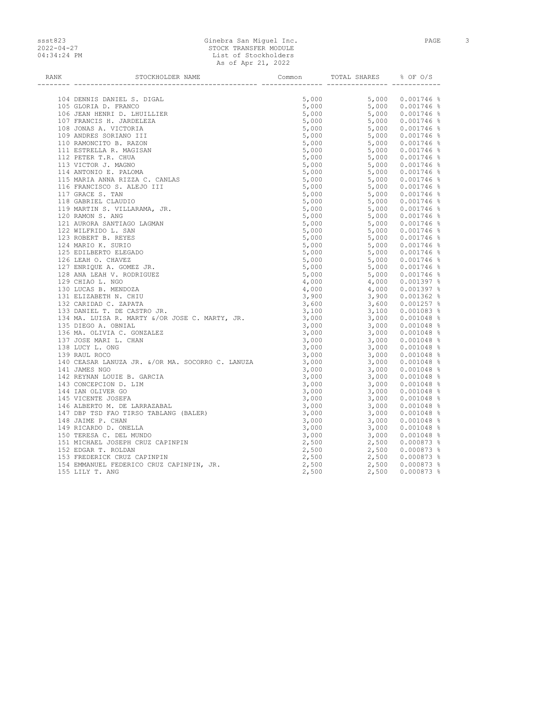### ssst823 Ginebra San Miguel Inc. PAGE 3 2022-04-27 STOCK TRANSFER MODULE 04:34:24 PM List of Stockholders As of Apr 21, 2022

| RANK | STOCKHOLDER NAME                                                                                                                                                                                                              | Common | TOTAL SHARES % OF O/S |  |
|------|-------------------------------------------------------------------------------------------------------------------------------------------------------------------------------------------------------------------------------|--------|-----------------------|--|
|      |                                                                                                                                                                                                                               |        |                       |  |
|      |                                                                                                                                                                                                                               |        |                       |  |
|      |                                                                                                                                                                                                                               |        |                       |  |
|      |                                                                                                                                                                                                                               |        |                       |  |
|      |                                                                                                                                                                                                                               |        |                       |  |
|      |                                                                                                                                                                                                                               |        |                       |  |
|      |                                                                                                                                                                                                                               |        |                       |  |
|      |                                                                                                                                                                                                                               |        |                       |  |
|      |                                                                                                                                                                                                                               |        |                       |  |
|      |                                                                                                                                                                                                                               |        |                       |  |
|      |                                                                                                                                                                                                                               |        |                       |  |
|      |                                                                                                                                                                                                                               |        |                       |  |
|      |                                                                                                                                                                                                                               |        |                       |  |
|      |                                                                                                                                                                                                                               |        |                       |  |
|      |                                                                                                                                                                                                                               |        |                       |  |
|      |                                                                                                                                                                                                                               |        |                       |  |
|      |                                                                                                                                                                                                                               |        |                       |  |
|      |                                                                                                                                                                                                                               |        |                       |  |
|      |                                                                                                                                                                                                                               |        |                       |  |
|      |                                                                                                                                                                                                                               |        |                       |  |
|      |                                                                                                                                                                                                                               |        |                       |  |
|      |                                                                                                                                                                                                                               |        |                       |  |
|      |                                                                                                                                                                                                                               |        |                       |  |
|      |                                                                                                                                                                                                                               |        |                       |  |
|      |                                                                                                                                                                                                                               |        |                       |  |
|      |                                                                                                                                                                                                                               |        |                       |  |
|      |                                                                                                                                                                                                                               |        |                       |  |
|      |                                                                                                                                                                                                                               |        |                       |  |
|      |                                                                                                                                                                                                                               |        |                       |  |
|      |                                                                                                                                                                                                                               |        |                       |  |
|      |                                                                                                                                                                                                                               |        |                       |  |
|      |                                                                                                                                                                                                                               |        |                       |  |
|      |                                                                                                                                                                                                                               |        |                       |  |
|      |                                                                                                                                                                                                                               |        |                       |  |
|      |                                                                                                                                                                                                                               |        |                       |  |
|      |                                                                                                                                                                                                                               |        |                       |  |
|      |                                                                                                                                                                                                                               |        |                       |  |
|      |                                                                                                                                                                                                                               |        |                       |  |
|      |                                                                                                                                                                                                                               |        |                       |  |
|      |                                                                                                                                                                                                                               |        |                       |  |
|      |                                                                                                                                                                                                                               |        |                       |  |
|      |                                                                                                                                                                                                                               |        |                       |  |
|      |                                                                                                                                                                                                                               |        |                       |  |
|      |                                                                                                                                                                                                                               |        |                       |  |
|      |                                                                                                                                                                                                                               |        |                       |  |
|      |                                                                                                                                                                                                                               |        |                       |  |
|      |                                                                                                                                                                                                                               |        |                       |  |
|      |                                                                                                                                                                                                                               |        |                       |  |
|      |                                                                                                                                                                                                                               |        |                       |  |
|      |                                                                                                                                                                                                                               |        |                       |  |
|      |                                                                                                                                                                                                                               |        |                       |  |
|      |                                                                                                                                                                                                                               |        |                       |  |
|      |                                                                                                                                                                                                                               |        |                       |  |
|      |                                                                                                                                                                                                                               |        |                       |  |
|      | 1974 - The Microsoft Computer State Computer State Computer State Computer State Computer State Computer State Computer State Computer State Computer State Computer State Computer State Computer State Computer State Compu |        |                       |  |
|      |                                                                                                                                                                                                                               |        |                       |  |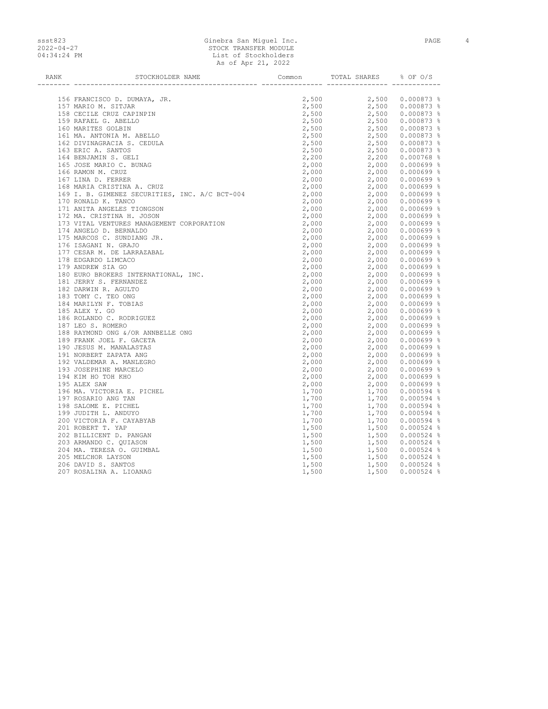### ssst823 Ginebra San Miguel Inc. PAGE 4 2022-04-27 STOCK TRANSFER MODULE 04:34:24 PM List of Stockholders As of Apr 21, 2022

| RANK | STOCKHOLDER NAME                                                                                                                                                                                                              | Common TOTAL SHARES % OF O/S |  |
|------|-------------------------------------------------------------------------------------------------------------------------------------------------------------------------------------------------------------------------------|------------------------------|--|
|      |                                                                                                                                                                                                                               |                              |  |
|      |                                                                                                                                                                                                                               |                              |  |
|      |                                                                                                                                                                                                                               |                              |  |
|      |                                                                                                                                                                                                                               |                              |  |
|      |                                                                                                                                                                                                                               |                              |  |
|      |                                                                                                                                                                                                                               |                              |  |
|      |                                                                                                                                                                                                                               |                              |  |
|      |                                                                                                                                                                                                                               |                              |  |
|      |                                                                                                                                                                                                                               |                              |  |
|      |                                                                                                                                                                                                                               |                              |  |
|      |                                                                                                                                                                                                                               |                              |  |
|      |                                                                                                                                                                                                                               |                              |  |
|      |                                                                                                                                                                                                                               |                              |  |
|      |                                                                                                                                                                                                                               |                              |  |
|      |                                                                                                                                                                                                                               |                              |  |
|      |                                                                                                                                                                                                                               |                              |  |
|      |                                                                                                                                                                                                                               |                              |  |
|      |                                                                                                                                                                                                                               |                              |  |
|      |                                                                                                                                                                                                                               |                              |  |
|      |                                                                                                                                                                                                                               |                              |  |
|      |                                                                                                                                                                                                                               |                              |  |
|      |                                                                                                                                                                                                                               |                              |  |
|      |                                                                                                                                                                                                                               |                              |  |
|      |                                                                                                                                                                                                                               |                              |  |
|      |                                                                                                                                                                                                                               |                              |  |
|      |                                                                                                                                                                                                                               |                              |  |
|      |                                                                                                                                                                                                                               |                              |  |
|      |                                                                                                                                                                                                                               |                              |  |
|      |                                                                                                                                                                                                                               |                              |  |
|      |                                                                                                                                                                                                                               |                              |  |
|      |                                                                                                                                                                                                                               |                              |  |
|      |                                                                                                                                                                                                                               |                              |  |
|      |                                                                                                                                                                                                                               |                              |  |
|      |                                                                                                                                                                                                                               |                              |  |
|      |                                                                                                                                                                                                                               |                              |  |
|      |                                                                                                                                                                                                                               |                              |  |
|      |                                                                                                                                                                                                                               |                              |  |
|      |                                                                                                                                                                                                                               |                              |  |
|      |                                                                                                                                                                                                                               |                              |  |
|      |                                                                                                                                                                                                                               |                              |  |
|      |                                                                                                                                                                                                                               |                              |  |
|      |                                                                                                                                                                                                                               |                              |  |
|      |                                                                                                                                                                                                                               |                              |  |
|      |                                                                                                                                                                                                                               |                              |  |
|      |                                                                                                                                                                                                                               |                              |  |
|      |                                                                                                                                                                                                                               |                              |  |
|      |                                                                                                                                                                                                                               |                              |  |
|      |                                                                                                                                                                                                                               |                              |  |
|      |                                                                                                                                                                                                                               |                              |  |
|      |                                                                                                                                                                                                                               |                              |  |
|      |                                                                                                                                                                                                                               |                              |  |
|      |                                                                                                                                                                                                                               |                              |  |
|      | 1978 FRANCISCO 2. DESCRIPTION NAME (CORRECT) 2.121 (1978) 2.131 (1978) 2.131 (1978) 2.131 (1978) 2.131 (1978) 2.131 (1978) 2.131 (1978) 2.131 (1978) 2.131 (1978) 2.131 (1978) 2.131 (1978) 2.131 (1978) 2.131 (1978) 2.131 ( |                              |  |
|      |                                                                                                                                                                                                                               |                              |  |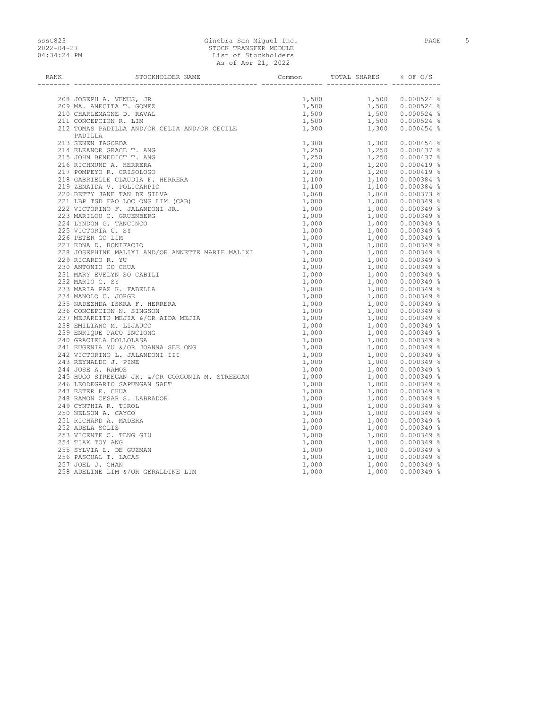### ssst823 Ginebra San Miguel Inc. PAGE 5 2022-04-27 STOCK TRANSFER MODULE 04:34:24 PM List of Stockholders As of Apr 21, 2022

| RANK | STOCKHOLDER NAME                                                                                                                                                                                                                      | Common TOTAL SHARES % OF O/S |  |
|------|---------------------------------------------------------------------------------------------------------------------------------------------------------------------------------------------------------------------------------------|------------------------------|--|
|      |                                                                                                                                                                                                                                       |                              |  |
|      |                                                                                                                                                                                                                                       |                              |  |
|      |                                                                                                                                                                                                                                       |                              |  |
|      |                                                                                                                                                                                                                                       |                              |  |
|      |                                                                                                                                                                                                                                       |                              |  |
|      |                                                                                                                                                                                                                                       |                              |  |
|      | PADILLA                                                                                                                                                                                                                               |                              |  |
|      |                                                                                                                                                                                                                                       |                              |  |
|      |                                                                                                                                                                                                                                       |                              |  |
|      |                                                                                                                                                                                                                                       |                              |  |
|      |                                                                                                                                                                                                                                       |                              |  |
|      |                                                                                                                                                                                                                                       |                              |  |
|      |                                                                                                                                                                                                                                       |                              |  |
|      |                                                                                                                                                                                                                                       |                              |  |
|      |                                                                                                                                                                                                                                       |                              |  |
|      |                                                                                                                                                                                                                                       |                              |  |
|      |                                                                                                                                                                                                                                       |                              |  |
|      |                                                                                                                                                                                                                                       |                              |  |
|      |                                                                                                                                                                                                                                       |                              |  |
|      |                                                                                                                                                                                                                                       |                              |  |
|      |                                                                                                                                                                                                                                       |                              |  |
|      |                                                                                                                                                                                                                                       |                              |  |
|      |                                                                                                                                                                                                                                       |                              |  |
|      |                                                                                                                                                                                                                                       |                              |  |
|      |                                                                                                                                                                                                                                       |                              |  |
|      |                                                                                                                                                                                                                                       |                              |  |
|      |                                                                                                                                                                                                                                       |                              |  |
|      |                                                                                                                                                                                                                                       |                              |  |
|      |                                                                                                                                                                                                                                       |                              |  |
|      |                                                                                                                                                                                                                                       |                              |  |
|      |                                                                                                                                                                                                                                       |                              |  |
|      |                                                                                                                                                                                                                                       |                              |  |
|      |                                                                                                                                                                                                                                       |                              |  |
|      |                                                                                                                                                                                                                                       |                              |  |
|      |                                                                                                                                                                                                                                       |                              |  |
|      |                                                                                                                                                                                                                                       |                              |  |
|      |                                                                                                                                                                                                                                       |                              |  |
|      |                                                                                                                                                                                                                                       |                              |  |
|      |                                                                                                                                                                                                                                       |                              |  |
|      |                                                                                                                                                                                                                                       |                              |  |
|      |                                                                                                                                                                                                                                       |                              |  |
|      |                                                                                                                                                                                                                                       |                              |  |
|      |                                                                                                                                                                                                                                       |                              |  |
|      |                                                                                                                                                                                                                                       |                              |  |
|      |                                                                                                                                                                                                                                       |                              |  |
|      |                                                                                                                                                                                                                                       |                              |  |
|      |                                                                                                                                                                                                                                       |                              |  |
|      |                                                                                                                                                                                                                                       |                              |  |
|      | 212 CONSERVERE R. LEW . LEW . 1990<br>212 CHARLES R. LEW . LEW . 1990 1.300 0.000224 4<br>213 CHARLES R. LEW . No. 2003<br>213 CHARLES RANGE T. ANN . CONTROL CONTROL 1. 200 0.00044 4<br>214 CHARLES R. LEW . CONTROL 200 CHARLES R. |                              |  |
|      |                                                                                                                                                                                                                                       |                              |  |
|      |                                                                                                                                                                                                                                       |                              |  |
|      |                                                                                                                                                                                                                                       |                              |  |
|      |                                                                                                                                                                                                                                       |                              |  |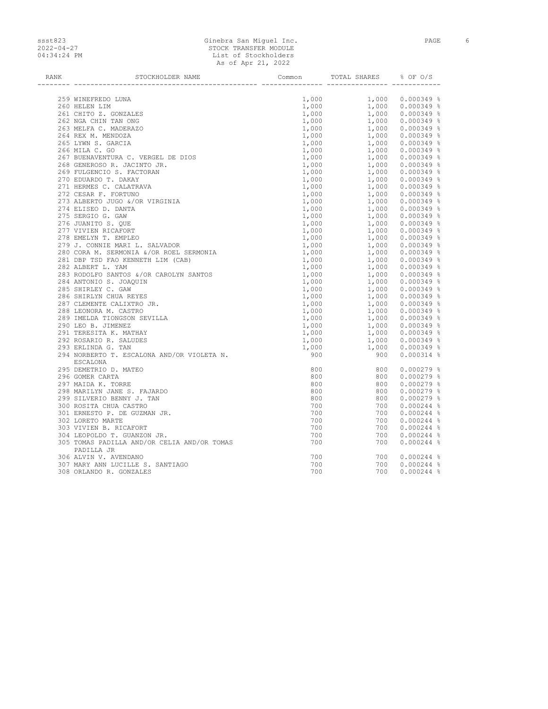# ssst823 Ginebra San Miguel Inc. PAGE 6 2022-04-27 STOCK TRANSFER MODULE 04:34:24 PM List of Stockholders As of Apr 21, 2022

| RANK | STOCKHOLDER NAME                                            | Common              | TOTAL SHARES % OF O/S                                                                                                                                                                                                                                                        |                                                                                                                                                                                                                                             |
|------|-------------------------------------------------------------|---------------------|------------------------------------------------------------------------------------------------------------------------------------------------------------------------------------------------------------------------------------------------------------------------------|---------------------------------------------------------------------------------------------------------------------------------------------------------------------------------------------------------------------------------------------|
|      |                                                             |                     | $\begin{tabular}{lcccc} 1,000 & 1,000 & 0.000349* \\ 1,000 & 1,000 & 0.000349* \\ 1,000 & 1,000 & 0.000349* \\ 1,000 & 1,000 & 0.000349* \\ 1,000 & 1,000 & 0.000349* \\ 1,000 & 1,000 & 0.000349* \\ 1,000 & 1,000 & 0.000349* \\ 1,000 & 1,000 & 0.000349* \\ 1,000 & 1,0$ |                                                                                                                                                                                                                                             |
|      | 259 WINEFREDO LUNA                                          |                     |                                                                                                                                                                                                                                                                              |                                                                                                                                                                                                                                             |
|      | 260 HELEN LIM                                               |                     |                                                                                                                                                                                                                                                                              |                                                                                                                                                                                                                                             |
|      | 261 CHITO Z. GONZALES                                       |                     |                                                                                                                                                                                                                                                                              |                                                                                                                                                                                                                                             |
|      | 262 NGA CHIN TAN ONG                                        |                     |                                                                                                                                                                                                                                                                              |                                                                                                                                                                                                                                             |
|      | 263 MELFA C. MADERAZO                                       |                     |                                                                                                                                                                                                                                                                              |                                                                                                                                                                                                                                             |
|      | 264 REX M. MENDOZA                                          |                     |                                                                                                                                                                                                                                                                              |                                                                                                                                                                                                                                             |
|      | 265 LYWN S. GARCIA                                          |                     |                                                                                                                                                                                                                                                                              |                                                                                                                                                                                                                                             |
|      | 266 MILA C. GO                                              |                     |                                                                                                                                                                                                                                                                              |                                                                                                                                                                                                                                             |
|      | 267 BUENAVENTURA C. VERGEL DE DIOS                          |                     |                                                                                                                                                                                                                                                                              |                                                                                                                                                                                                                                             |
|      | 268 GENEROSO R. JACINTO JR.                                 |                     |                                                                                                                                                                                                                                                                              |                                                                                                                                                                                                                                             |
|      | 269 FULGENCIO S. FACTORAN                                   |                     |                                                                                                                                                                                                                                                                              |                                                                                                                                                                                                                                             |
|      | 270 EDUARDO T. DAKAY                                        |                     |                                                                                                                                                                                                                                                                              |                                                                                                                                                                                                                                             |
|      | 271 HERMES C. CALATRAVA                                     |                     |                                                                                                                                                                                                                                                                              |                                                                                                                                                                                                                                             |
|      | 272 CESAR F. FORTUNO                                        |                     |                                                                                                                                                                                                                                                                              |                                                                                                                                                                                                                                             |
|      | 273 ALBERTO JUGO &/OR VIRGINIA                              |                     |                                                                                                                                                                                                                                                                              |                                                                                                                                                                                                                                             |
|      | 274 ELISEO D. DANTA                                         |                     |                                                                                                                                                                                                                                                                              |                                                                                                                                                                                                                                             |
|      | 275 SERGIO G. GAW                                           |                     |                                                                                                                                                                                                                                                                              |                                                                                                                                                                                                                                             |
|      | 276 JUANITO S. OUE                                          |                     |                                                                                                                                                                                                                                                                              |                                                                                                                                                                                                                                             |
|      | 277 VIVIEN RICAFORT                                         |                     |                                                                                                                                                                                                                                                                              |                                                                                                                                                                                                                                             |
|      | 278 EMELYN T. EMPLEO                                        |                     |                                                                                                                                                                                                                                                                              |                                                                                                                                                                                                                                             |
|      | 279 J. CONNIE MARI L. SALVADOR                              |                     |                                                                                                                                                                                                                                                                              |                                                                                                                                                                                                                                             |
|      | 280 CORA M. SERMONIA &/OR ROEL SERMONIA                     |                     |                                                                                                                                                                                                                                                                              |                                                                                                                                                                                                                                             |
|      | 281 DBP TSD FAO KENNETH LIM (CAB)                           |                     |                                                                                                                                                                                                                                                                              |                                                                                                                                                                                                                                             |
|      | 282 ALBERT L. YAM                                           |                     |                                                                                                                                                                                                                                                                              |                                                                                                                                                                                                                                             |
|      | 283 RODOLFO SANTOS &/OR CAROLYN SANTOS                      |                     |                                                                                                                                                                                                                                                                              |                                                                                                                                                                                                                                             |
|      | 284 ANTONIO S. JOAQUIN                                      |                     |                                                                                                                                                                                                                                                                              |                                                                                                                                                                                                                                             |
|      | 285 SHIRLEY C. GAW                                          |                     |                                                                                                                                                                                                                                                                              |                                                                                                                                                                                                                                             |
|      | 286 SHIRLYN CHUA REYES                                      |                     |                                                                                                                                                                                                                                                                              |                                                                                                                                                                                                                                             |
|      | 287 CLEMENTE CALIXTRO JR.                                   |                     |                                                                                                                                                                                                                                                                              |                                                                                                                                                                                                                                             |
|      | 288 LEONORA M. CASTRO                                       |                     |                                                                                                                                                                                                                                                                              |                                                                                                                                                                                                                                             |
|      | 289 IMELDA TIONGSON SEVILLA                                 |                     |                                                                                                                                                                                                                                                                              |                                                                                                                                                                                                                                             |
|      | 290 LEO B. JIMENEZ                                          |                     |                                                                                                                                                                                                                                                                              |                                                                                                                                                                                                                                             |
|      | 291 TERESITA K. MATHAY                                      |                     |                                                                                                                                                                                                                                                                              |                                                                                                                                                                                                                                             |
|      | 292 ROSARIO R. SALUDES                                      |                     |                                                                                                                                                                                                                                                                              |                                                                                                                                                                                                                                             |
|      | 293 ERLINDA G. TAN                                          | $\frac{1,000}{900}$ |                                                                                                                                                                                                                                                                              |                                                                                                                                                                                                                                             |
|      | 294 NORBERTO T. ESCALONA AND/OR VIOLETA N.<br>ESCALONA      |                     |                                                                                                                                                                                                                                                                              |                                                                                                                                                                                                                                             |
|      | 295 DEMETRIO D. MATEO                                       | 800                 | 800                                                                                                                                                                                                                                                                          | $0.000279$ %                                                                                                                                                                                                                                |
|      | 296 GOMER CARTA                                             | 800                 |                                                                                                                                                                                                                                                                              | $\begin{array}{r} 600 \ 0.000279\ 8\ 800\ \ 0.000279\ 8\ 800\ \ 0.000279\ 8\ 800\ \ 0.000279\ 8\ 800\ 0.000279\ 8\ 900\ 0.000244\ 8\ 700\ 0.000244\ 8\ 700\ 0.000244\ 8\ 700\ 0.000244\ 8\ 700\ 0.000244\ 8\ 700\ 0.000244\ 8\ 700\ 0.0002$ |
|      | 297 MAIDA K. TORRE                                          | 800                 |                                                                                                                                                                                                                                                                              |                                                                                                                                                                                                                                             |
|      | 298 MARILYN JANE S. FAJARDO                                 | 800                 |                                                                                                                                                                                                                                                                              |                                                                                                                                                                                                                                             |
|      | 299 SILVERIO BENNY J. TAN                                   | 800                 |                                                                                                                                                                                                                                                                              |                                                                                                                                                                                                                                             |
|      | 300 ROSITA CHUA CASTRO                                      | 700                 |                                                                                                                                                                                                                                                                              |                                                                                                                                                                                                                                             |
|      | 301 ERNESTO P. DE GUZMAN JR.                                | 700                 |                                                                                                                                                                                                                                                                              |                                                                                                                                                                                                                                             |
|      | 302 LORETO MARTE                                            | 700                 |                                                                                                                                                                                                                                                                              |                                                                                                                                                                                                                                             |
|      | 303 VIVIEN B. RICAFORT                                      | 700                 |                                                                                                                                                                                                                                                                              |                                                                                                                                                                                                                                             |
|      | 304 LEOPOLDO T. GUANZON JR.                                 | 700                 |                                                                                                                                                                                                                                                                              |                                                                                                                                                                                                                                             |
|      | 305 TOMAS PADILLA AND/OR CELIA AND/OR TOMAS                 | 700                 | 700                                                                                                                                                                                                                                                                          | $0.000244$ %                                                                                                                                                                                                                                |
|      | PADILLA JR                                                  |                     |                                                                                                                                                                                                                                                                              |                                                                                                                                                                                                                                             |
|      | 306 ALVIN V. AVENDANO                                       | 700                 | 700                                                                                                                                                                                                                                                                          | $0.000244$ %                                                                                                                                                                                                                                |
|      | 307 MARY ANN LUCILLE S. SANTIAGO<br>308 ORLANDO R. GONZALES | 700<br>700          | 700<br>700                                                                                                                                                                                                                                                                   | $0.000244$ %                                                                                                                                                                                                                                |
|      |                                                             |                     |                                                                                                                                                                                                                                                                              | $0.000244$ %                                                                                                                                                                                                                                |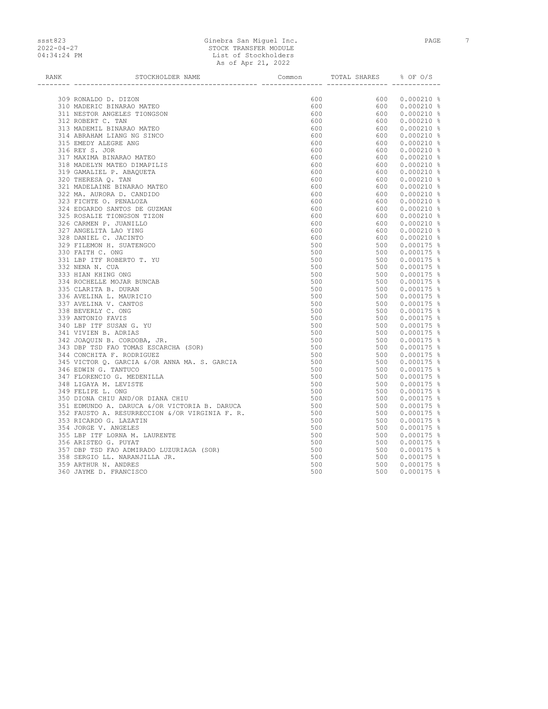### ssst823 Ginebra San Miguel Inc. PAGE 7 2022-04-27 STOCK TRANSFER MODULE 04:34:24 PM List of Stockholders As of Apr 21, 2022

| RANK | STOCKHOLDER NAME                                                                                                                                         | Common                                    | TOTAL SHARES % OF O/S                                                                                                                                                                                                                                             |                                                                                                                                                                                                                      |
|------|----------------------------------------------------------------------------------------------------------------------------------------------------------|-------------------------------------------|-------------------------------------------------------------------------------------------------------------------------------------------------------------------------------------------------------------------------------------------------------------------|----------------------------------------------------------------------------------------------------------------------------------------------------------------------------------------------------------------------|
|      |                                                                                                                                                          |                                           | ____  _________________  ________                                                                                                                                                                                                                                 |                                                                                                                                                                                                                      |
|      | 309 RONALDO D. DIZON                                                                                                                                     | 600                                       | $\begin{array}{cccc} 600 & 0.000210& 8\\ 600 & 0.000210& 8\\ 600 & 0.000210& 8\\ 600 & 0.000210& 8\\ 600 & 0.000210& 8\\ 600 & 0.000210& 8\\ 600 & 0.000210& 8\\ 600 & 0.000210& 8\\ 600 & 0.000210& 8\\ 600 & 0.000210& 8\\ 600 & 0.000210& 8\\ 600 & 0.000210&$ |                                                                                                                                                                                                                      |
|      | 310 MADERIC BINARAO MATEO                                                                                                                                | 600                                       |                                                                                                                                                                                                                                                                   |                                                                                                                                                                                                                      |
|      | 311 NESTOR ANGELES TIONGSON                                                                                                                              | 600                                       |                                                                                                                                                                                                                                                                   |                                                                                                                                                                                                                      |
|      | 312 ROBERT C. TAN                                                                                                                                        | 600                                       |                                                                                                                                                                                                                                                                   |                                                                                                                                                                                                                      |
|      | 313 MADEMIL BINARAO MATEO                                                                                                                                | 600                                       |                                                                                                                                                                                                                                                                   |                                                                                                                                                                                                                      |
|      | 314 ABRAHAM LIANG NG SINCO                                                                                                                               | 600                                       |                                                                                                                                                                                                                                                                   |                                                                                                                                                                                                                      |
|      | 315 EMEDY ALEGRE ANG                                                                                                                                     | 600                                       |                                                                                                                                                                                                                                                                   |                                                                                                                                                                                                                      |
|      | 316 REY S. JOR                                                                                                                                           | 600                                       |                                                                                                                                                                                                                                                                   |                                                                                                                                                                                                                      |
|      | 317 MAXIMA BINARAO MATEO                                                                                                                                 | 600                                       |                                                                                                                                                                                                                                                                   |                                                                                                                                                                                                                      |
|      | 318 MADELYN MATEO DIMAPILIS                                                                                                                              | 600                                       |                                                                                                                                                                                                                                                                   |                                                                                                                                                                                                                      |
|      |                                                                                                                                                          | 600                                       |                                                                                                                                                                                                                                                                   |                                                                                                                                                                                                                      |
|      | 319 GAMALIEL P. ABAQUETA<br>320 THERESA O. TAN                                                                                                           | 600                                       |                                                                                                                                                                                                                                                                   |                                                                                                                                                                                                                      |
|      | 321 MADELAINE BINARAO MATEO                                                                                                                              | 600                                       |                                                                                                                                                                                                                                                                   |                                                                                                                                                                                                                      |
|      | 322 MA. AURORA D. CANDIDO                                                                                                                                | 600                                       |                                                                                                                                                                                                                                                                   |                                                                                                                                                                                                                      |
|      |                                                                                                                                                          |                                           |                                                                                                                                                                                                                                                                   |                                                                                                                                                                                                                      |
|      | 323 FICHTE O. PENALOZA                                                                                                                                   | 600                                       |                                                                                                                                                                                                                                                                   |                                                                                                                                                                                                                      |
|      | 324 EDGARDO SANTOS DE GUZMAN                                                                                                                             | 600                                       |                                                                                                                                                                                                                                                                   |                                                                                                                                                                                                                      |
|      | 325 ROSALIE TIONGSON TIZON                                                                                                                               | 600                                       |                                                                                                                                                                                                                                                                   |                                                                                                                                                                                                                      |
|      | 326 CARMEN P. JUANILLO                                                                                                                                   | 600                                       |                                                                                                                                                                                                                                                                   |                                                                                                                                                                                                                      |
|      | 327 ANGELITA LAO YING                                                                                                                                    | 600                                       |                                                                                                                                                                                                                                                                   |                                                                                                                                                                                                                      |
|      | 328 DANIEL C. JACINTO                                                                                                                                    | 600                                       |                                                                                                                                                                                                                                                                   | $600$ $0.000210$ $8$<br>$600$ $0.000210$ $8$<br>$600$ $0.000210$ $8$<br>$600$ $0.000210$ $8$<br>$600$ $0.000210$ $8$<br>$600$ $0.000210$ $8$<br>$600$ $0.000210$ $8$<br>$600$ $0.000210$ $8$<br>$500$ $0.000175$ $8$ |
|      | 329 FILEMON H. SUATENGCO                                                                                                                                 | 500                                       |                                                                                                                                                                                                                                                                   | 500 0.000175 %<br>500 0.000175 %<br>500 0.000175 %<br>500 0.000175 %                                                                                                                                                 |
|      | 330 FAITH C. ONG                                                                                                                                         | 500                                       |                                                                                                                                                                                                                                                                   |                                                                                                                                                                                                                      |
|      | 331 LBP ITF ROBERTO T. YU                                                                                                                                | 500                                       |                                                                                                                                                                                                                                                                   |                                                                                                                                                                                                                      |
|      | 332 NENA N. CUA                                                                                                                                          | 500                                       |                                                                                                                                                                                                                                                                   | 500  0.000175  %                                                                                                                                                                                                     |
|      | 333 HIAN KHING ONG                                                                                                                                       | 500                                       |                                                                                                                                                                                                                                                                   | 500 0.000175 %                                                                                                                                                                                                       |
|      | 334 ROCHELLE MOJAR BUNCAB                                                                                                                                | 500                                       |                                                                                                                                                                                                                                                                   | 500 0.000175 %                                                                                                                                                                                                       |
|      | 335 CLARITA B. DURAN                                                                                                                                     | 500                                       |                                                                                                                                                                                                                                                                   | 500 0.000175 %                                                                                                                                                                                                       |
|      | 336 AVELINA L. MAURICIO                                                                                                                                  | 500                                       |                                                                                                                                                                                                                                                                   | 500  0.000175  %                                                                                                                                                                                                     |
|      | 337 AVELINA V. CANTOS                                                                                                                                    | 500                                       |                                                                                                                                                                                                                                                                   | 500 0.000175 %                                                                                                                                                                                                       |
|      | 338 BEVERLY C. ONG                                                                                                                                       | 500                                       |                                                                                                                                                                                                                                                                   | 500 0.000175 %                                                                                                                                                                                                       |
|      | 339 ANTONIO FAVIS                                                                                                                                        | 500                                       |                                                                                                                                                                                                                                                                   | 500 0.000175 %                                                                                                                                                                                                       |
|      | 340 LBP ITF SUSAN G. YU                                                                                                                                  | 500                                       |                                                                                                                                                                                                                                                                   | $\begin{array}{cccc} 500 & 0.000175 & 8 \\ 500 & 0.000175 & 8 \\ 500 & 0.000175 & 8 \\ 500 & 0.000175 & 8 \\ 500 & 0.000175 & 8 \\ 500 & 0.000175 & 8 \end{array}$                                                   |
|      | 341 VIVIEN B. ADRIAS                                                                                                                                     | 500                                       |                                                                                                                                                                                                                                                                   |                                                                                                                                                                                                                      |
|      | 342 JOAQUIN B. CORDOBA, JR.                                                                                                                              |                                           |                                                                                                                                                                                                                                                                   |                                                                                                                                                                                                                      |
|      | 343 DBP TSD FAO TOMAS ESCARCHA (SOR)                                                                                                                     |                                           |                                                                                                                                                                                                                                                                   |                                                                                                                                                                                                                      |
|      | 344 CONCHITA F. RODRIGUEZ                                                                                                                                |                                           |                                                                                                                                                                                                                                                                   | 500 0.000175 %                                                                                                                                                                                                       |
|      | 345 VICTOR Q. GARCIA &/OR ANNA MA. S. GARCIA                                                                                                             | $500$<br>$500$<br>$500$<br>$500$<br>$500$ |                                                                                                                                                                                                                                                                   | 500 0.000175 %                                                                                                                                                                                                       |
|      | 346 EDWIN G. TANTUCO                                                                                                                                     |                                           |                                                                                                                                                                                                                                                                   | 500 0.000175 %                                                                                                                                                                                                       |
|      | 347 FLORENCIO G. MEDENILLA                                                                                                                               | 500                                       |                                                                                                                                                                                                                                                                   | 500 0.000175 %                                                                                                                                                                                                       |
|      | 348 LIGAYA M. LEVISTE                                                                                                                                    | 500                                       |                                                                                                                                                                                                                                                                   | 500 0.000175 %                                                                                                                                                                                                       |
|      | 349 FELIPE L. ONG<br>350 DIONA CHIU AND/OR DIANA CHIU<br>351 EDMUNDO A. DARUCA &/OR VICTORIA B. DARUCA<br>352 FAUSTO A. RESURRECCION &/OR VIRGINIA F. R. | 500                                       |                                                                                                                                                                                                                                                                   | 500 0.000175 %                                                                                                                                                                                                       |
|      |                                                                                                                                                          |                                           |                                                                                                                                                                                                                                                                   | 500 0.000175 %                                                                                                                                                                                                       |
|      |                                                                                                                                                          | $500$<br>$500$<br>$500$<br>$500$          |                                                                                                                                                                                                                                                                   | 500 0.000175 %                                                                                                                                                                                                       |
|      |                                                                                                                                                          |                                           |                                                                                                                                                                                                                                                                   | 500 0.000175 %                                                                                                                                                                                                       |
|      | 353 RICARDO G. LAZATIN                                                                                                                                   | 500                                       |                                                                                                                                                                                                                                                                   | 500 0.000175 %                                                                                                                                                                                                       |
|      | 354 JORGE V. ANGELES                                                                                                                                     | 500                                       |                                                                                                                                                                                                                                                                   |                                                                                                                                                                                                                      |
|      | 355 LBP ITF LORNA M. LAURENTE                                                                                                                            |                                           | 500                                                                                                                                                                                                                                                               |                                                                                                                                                                                                                      |
|      | 356 ARISTEO G. PUYAT                                                                                                                                     | 500                                       |                                                                                                                                                                                                                                                                   |                                                                                                                                                                                                                      |
|      | 357 DBP TSD FAO ADMIRADO LUZURIAGA (SOR)                                                                                                                 | 500                                       |                                                                                                                                                                                                                                                                   |                                                                                                                                                                                                                      |
|      | 358 SERGIO LL. NARANJILLA JR.                                                                                                                            | 500                                       |                                                                                                                                                                                                                                                                   |                                                                                                                                                                                                                      |
|      | 359 ARTHUR N. ANDRES                                                                                                                                     | 500                                       |                                                                                                                                                                                                                                                                   |                                                                                                                                                                                                                      |
|      | 360 JAYME D. FRANCISCO                                                                                                                                   | 500                                       | $500$ 0.000175 $\frac{2}{3}$<br>500 0.000175 $\frac{2}{3}$<br>500 0.000175 $\frac{2}{3}$<br>500 0.000175 $\frac{2}{3}$<br>500 0.000175 $\frac{2}{3}$<br>500 0.000175 $\frac{2}{3}$                                                                                |                                                                                                                                                                                                                      |
|      |                                                                                                                                                          |                                           |                                                                                                                                                                                                                                                                   |                                                                                                                                                                                                                      |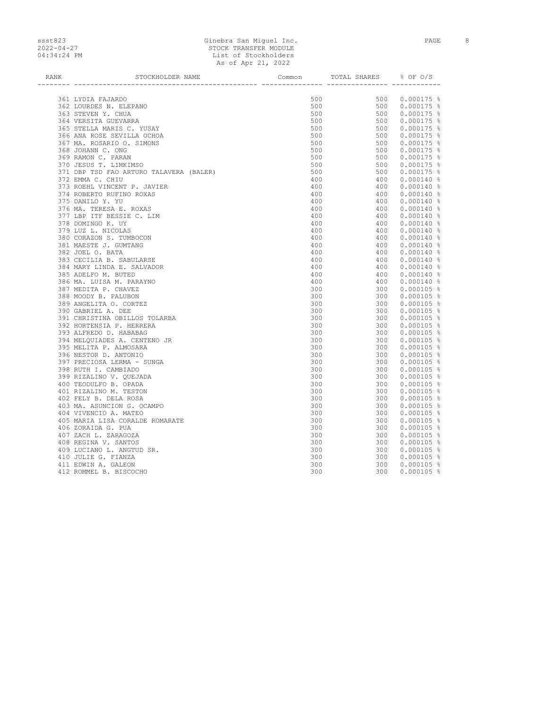## ssst823 Ginebra San Miguel Inc. PAGE 8 2022-04-27 STOCK TRANSFER MODULE 04:34:24 PM List of Stockholders As of Apr 21, 2022

| <b>RANK</b> | STOCKHOLDER NAME                                   | Common     | TOTAL SHARES % OF O/S |                              |
|-------------|----------------------------------------------------|------------|-----------------------|------------------------------|
|             | --------------                                     |            |                       |                              |
|             | 361 LYDIA FAJARDO                                  | 500        |                       | 500 0.000175 %               |
|             | 362 LOURDES N. ELEPANO                             | 500        |                       | 500 0.000175 %               |
|             | 363 STEVEN Y. CHUA                                 | 500        | 500                   | $0.000175$ %                 |
|             | 364 VERSITA GUEVARRA                               | 500        | 500                   | $0.000175$ %                 |
|             | 365 STELLA MARIS C. YUSAY                          | 500        | 500                   | $0.000175$ %                 |
|             | 366 ANA ROSE SEVILLA OCHOA                         | 500        | 500                   | $0.000175$ %                 |
|             | 367 MA. ROSARIO O. SIMONS                          | 500        | 500                   | $0.000175$ %                 |
|             | 368 JOHANN C. ONG                                  | 500        | 500                   | $0.000175$ %                 |
|             | 369 RAMON C. PARAN                                 | 500        | 500                   | $0.000175$ %                 |
|             | 370 JESUS T. LIMKIMSO                              | 500        | 500                   | $0.000175$ %                 |
|             | 371 DBP TSD FAO ARTURO TALAVERA (BALER)            | 500        | 500                   | $0.000175$ %                 |
|             | 372 EMMA C. CHIU                                   | 400        | 400                   | $0.000140$ %                 |
|             | 373 ROEHL VINCENT P. JAVIER                        | 400        | 400                   | $0.000140$ %                 |
|             | 374 ROBERTO RUFINO ROXAS                           | 400        | 400                   | $0.000140$ %                 |
|             | 375 DANILO Y. YU                                   | 400        | 400                   | $0.000140$ %                 |
|             | 376 MA. TERESA E. ROXAS                            | 400        | 400                   | $0.000140$ %                 |
|             | 377 LBP ITF BESSIE C. LIM                          | 400        | 400                   | $0.000140$ %                 |
|             | 378 DOMINGO K. UY                                  | 400        | 400                   | $0.000140$ %                 |
|             | 379 LUZ L. NICOLAS                                 | 400        | 400                   | $0.000140$ %                 |
|             | 380 CORAZON S. TUMBOCON                            | 400        | 400                   | $0.000140$ %                 |
|             | 381 MAESTE J. GUMTANG                              | 400        | 400                   | $0.000140$ %                 |
|             | 382 JOEL O. BATA                                   | 400        | 400                   | $0.000140$ %                 |
|             | 383 CECILIA B. SABULARSE                           | 400        | 400                   | $0.000140$ %                 |
|             | 384 MARY LINDA E. SALVADOR                         | 400        | 400                   | $0.000140$ %                 |
|             | 385 ADELFO M. BUTED                                | 400        | 400                   | $0.000140$ %                 |
|             | 386 MA. LUISA M. PARAYNO                           | 400        | 400                   | $0.000140$ %                 |
|             | 387 MEDITA P. CHAVEZ                               | 300        | 300                   | $0.000105$ %                 |
|             | 388 MOODY B. PALUBON                               | 300        | 300                   | $0.000105$ %                 |
|             | 389 ANGELITA O. CORTEZ                             | 300        | 300                   | $0.000105$ %                 |
|             | 390 GABRIEL A. DEE                                 | 300        | 300                   | $0.000105$ %                 |
|             | 391 CHRISTINA OBILLOS TOLARBA                      | 300        | 300                   | $0.000105$ %                 |
|             | 392 HORTENSIA P. HERRERA                           | 300        | 300                   | $0.000105$ %                 |
|             | 393 ALFREDO D. HABABAG                             | 300        | 300                   | $0.000105$ %                 |
|             | 394 MELQUIADES A. CENTENO JR                       | 300        |                       | 300 0.000105 %               |
|             | 395 MELITA P. ALMOSARA                             | 300        | 300                   | $0.000105$ %                 |
|             | 396 NESTOR D. ANTONIO                              | 300        | 300                   | $0.000105$ %                 |
|             | 397 PRECIOSA LERMA - SUNGA<br>398 RUTH I. CAMBIADO | 300        |                       | 300  0.000105 %              |
|             | 399 RIZALINO V. OUEJADA                            | 300<br>300 | 300<br>300            | $0.000105$ %                 |
|             | 400 TEODULFO B. OPADA                              | 300        | 300                   | $0.000105$ %<br>$0.000105$ % |
|             | 401 RIZALINO M. TESTON                             | 300        | 300                   | $0.000105$ %                 |
|             | 402 FELY B. DELA ROSA                              | 300        | 300                   | $0.000105$ %                 |
|             | 403 MA. ASUNCION G. OCAMPO                         | 300        | 300                   | $0.000105$ %                 |
|             | 404 VIVENCIO A. MATEO                              | 300        | 300                   | $0.000105$ %                 |
|             | 405 MARIA LISA CORALDE ROMARATE                    | 300        | 300                   | $0.000105$ %                 |
|             | 406 ZORAIDA G. PUA                                 | 300        | 300                   | $0.000105$ %                 |
|             | 407 ZACH L. ZARAGOZA                               | 300        | 300                   | $0.000105$ %                 |
|             | 408 REGINA V. SANTOS                               | 300        | 300                   | $0.000105$ %                 |
|             | 409 LUCIANO L. ANGTUD SR.                          | 300        | 300                   | $0.000105$ %                 |
|             | 410 JULIE G. FIANZA                                | 300        | 300                   | $0.000105$ %                 |
|             | 411 EDWIN A. GALEON                                | 300        | 300                   | $0.000105$ %                 |
|             | 412 ROMMEL B. BISCOCHO                             | 300        | 300                   | $0.000105$ %                 |
|             |                                                    |            |                       |                              |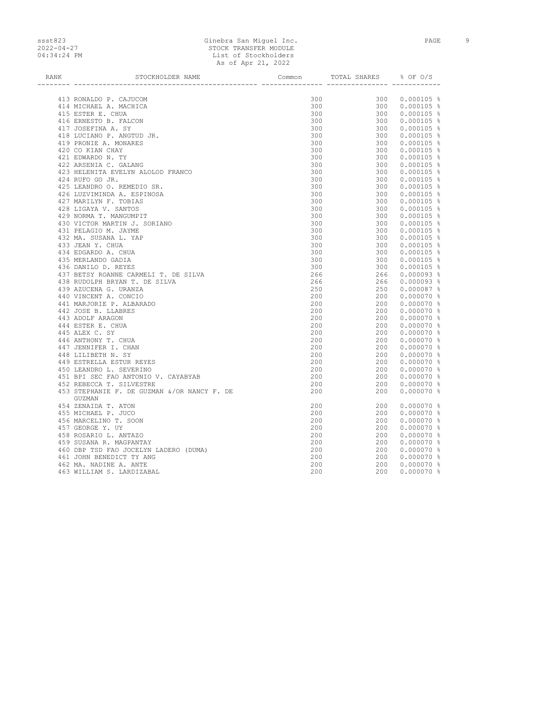### ssst823 Ginebra San Miguel Inc. PAGE 9 2022-04-27 STOCK TRANSFER MODULE 04:34:24 PM List of Stockholders As of Apr 21, 2022

| <b>RANK</b> | STOCKHOLDER NAME                                      | Common | TOTAL SHARES 8 OF O/S             |              |
|-------------|-------------------------------------------------------|--------|-----------------------------------|--------------|
|             | ---------------                                       |        | ______ ________________ _________ |              |
|             | 413 RONALDO P. CAJUCOM                                | 300    | 300                               | $0.000105$ % |
|             | 414 MICHAEL A. MACHICA                                | 300    | 300                               | $0.000105$ % |
|             | 415 ESTER E. CHUA                                     | 300    | 300                               | $0.000105$ % |
|             | 416 ERNESTO B. FALCON                                 | 300    | 300                               | $0.000105$ % |
|             | 417 JOSEFINA A. SY                                    | 300    | 300                               | $0.000105$ % |
|             | 418 LUCIANO P. ANGTUD JR.                             | 300    | 300                               | $0.000105$ % |
|             | 419 PRONIE A. MONARES                                 | 300    | 300                               | $0.000105$ % |
|             | 420 CO KIAN CHAY                                      | 300    | 300                               | $0.000105$ % |
|             | 421 EDWARDO N. TY                                     | 300    | 300                               | $0.000105$ % |
|             | 422 ARSENIA C. GALANG                                 | 300    | 300                               | $0.000105$ % |
|             | 423 HELENITA EVELYN ALOLOD FRANCO                     | 300    | 300                               | $0.000105$ % |
|             | 424 RUFO GO JR.                                       | 300    | 300                               | $0.000105$ % |
|             | 425 LEANDRO O. REMEDIO SR.                            | 300    | 300                               | $0.000105$ % |
|             | 426 LUZVIMINDA A. ESPINOSA                            | 300    | 300                               | $0.000105$ % |
|             | 427 MARILYN F. TOBIAS                                 | 300    | 300                               | $0.000105$ % |
|             | 428 LIGAYA V. SANTOS                                  | 300    | 300                               | $0.000105$ % |
|             | 429 NORMA T. MANGUMPIT                                | 300    | 300                               | $0.000105$ % |
|             | 430 VICTOR MARTIN J. SORIANO                          | 300    | 300                               | $0.000105$ % |
|             | 431 PELAGIO M. JAYME                                  | 300    | 300                               | $0.000105$ % |
|             | 432 MA. SUSANA L. YAP                                 | 300    | 300                               | $0.000105$ % |
|             | 433 JEAN Y. CHUA                                      | 300    | 300                               | $0.000105$ % |
|             | 434 EDGARDO A. CHUA                                   | 300    | 300                               | $0.000105$ % |
|             | 435 MERLANDO GADIA                                    | 300    | 300                               | $0.000105$ % |
|             | 436 DANILO D. REYES                                   | 300    | 300                               | $0.000105$ % |
|             | 437 BETSY ROANNE CARMELI T. DE SILVA                  | 266    | 266                               | $0.000093$ % |
|             | 438 RUDOLPH BRYAN T. DE SILVA                         | 266    | 266                               | $0.000093$ % |
|             | 439 AZUCENA G. URANZA                                 | 250    | 250                               | $0.000087$ % |
|             | 440 VINCENT A. CONCIO                                 | 200    | 200                               | $0.000070$ % |
|             | 441 MARJORIE P. ALBARADO                              | 200    | 200                               | $0.000070$ % |
|             | 442 JOSE B. LLABRES                                   | 200    | 200                               | $0.000070$ % |
|             | 443 ADOLF ARAGON                                      | 200    | 200                               | $0.000070$ % |
|             | 444 ESTER E. CHUA                                     | 200    | 200                               | $0.000070$ % |
|             | 445 ALEX C. SY                                        | 200    | 200                               | $0.000070$ % |
|             | 446 ANTHONY T. CHUA                                   | 200    | 200                               | $0.000070$ % |
|             | 447 JENNIFER I. CHAN                                  | 200    | 200                               | $0.000070$ % |
|             | 448 LILIBETH N. SY                                    | 200    | 200                               | $0.000070$ % |
|             | 449 ESTRELLA ESTUR REYES                              | 200    | 200                               | $0.000070$ % |
|             | 450 LEANDRO L. SEVERINO                               | 200    | 200                               | $0.000070$ % |
|             | 451 BPI SEC FAO ANTONIO V. CAYABYAB                   | 200    | 200                               | $0.000070$ % |
|             | 452 REBECCA T. SILVESTRE                              | 200    | 200                               | $0.000070$ % |
|             | 453 STEPHANIE F. DE GUZMAN &/OR NANCY F. DE<br>GUZMAN | 200    | 200                               | $0.000070$ % |
|             | 454 ZENAIDA T. ATON                                   | 200    | 200                               | $0.000070$ % |
|             | 455 MICHAEL P. JUCO                                   | 200    | 200                               | $0.000070$ % |
|             | 456 MARCELINO T. SOON                                 | 200    | 200                               | $0.000070$ % |
|             | 457 GEORGE Y. UY                                      | 200    | 200                               | $0.000070$ % |
|             | 458 ROSARIO L. ANTAZO                                 | 200    | 200                               | $0.000070$ % |
|             | 459 SUSANA R. MAGPANTAY                               | 200    | 200                               | $0.000070$ % |
|             | 460 DBP TSD FAO JOCELYN LADERO (DUMA)                 | 200    | 200                               | $0.000070$ % |
|             | 461 JOHN BENEDICT TY ANG                              | 200    | 200                               | $0.000070$ % |
|             | 462 MA. NADINE A. ANTE                                | 200    | 200                               | $0.000070$ % |
|             | 463 WILLIAM S. LARDIZABAL                             | 200    | 200                               | $0.000070$ % |
|             |                                                       |        |                                   |              |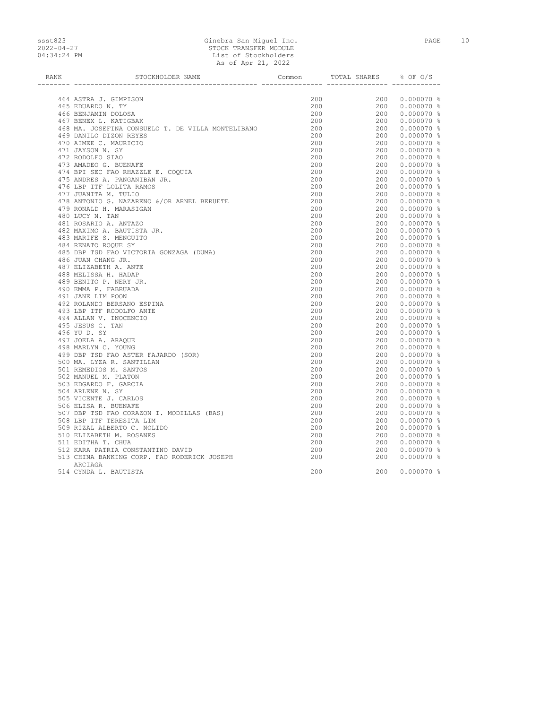# ssst823 Ginebra San Miguel Inc. PAGE 10 2022-04-27 STOCK TRANSFER MODULE 04:34:24 PM List of Stockholders As of Apr 21, 2022

| <b>RANK</b> | STOCKHOLDER NAME                                    | Common     | TOTAL SHARES % OF O/S             |                                  |
|-------------|-----------------------------------------------------|------------|-----------------------------------|----------------------------------|
|             | ---------------                                     |            | _______ ________________ ________ |                                  |
|             | 464 ASTRA J. GIMPISON                               | 200        |                                   | 200 0.000070 %                   |
|             | 465 EDUARDO N. TY                                   | 200        |                                   | 200 0.000070 %                   |
|             | 466 BENJAMIN DOLOSA                                 | 200        |                                   | 200 0.000070 %                   |
|             | 467 BENEX L. KATIGBAK                               | 200        |                                   | 200  0.000070  %                 |
|             | 468 MA. JOSEFINA CONSUELO T. DE VILLA MONTELIBANO   | 200        |                                   | 200 0.000070 %                   |
|             | 469 DANILO DIZON REYES                              | 200        |                                   | 200 0.000070 %                   |
|             | 470 AIMEE C. MAURICIO                               | 200        |                                   | 200 0.000070 %                   |
|             | 471 JAYSON N. SY                                    | 200        |                                   | 200 0.000070 %                   |
|             | 472 RODOLFO SIAO                                    | 200        |                                   | 200  0.000070  %                 |
|             | 473 AMADEO G. BUENAFE                               | 200        |                                   | 200 0.000070 %                   |
|             | 474 BPI SEC FAO RHAZZLE E. COQUIA                   | 200        |                                   | 200 0.000070 %                   |
|             | 475 ANDRES A. PANGANIBAN JR.                        | 200        |                                   | 200  0.000070  %                 |
|             | 476 LBP ITF LOLITA RAMOS                            | 200        |                                   | 200 0.000070 %                   |
|             | 477 JUANITA M. TULIO                                | 200        |                                   | 200 0.000070 %                   |
|             | 478 ANTONIO G. NAZARENO &/OR ARNEL BERUETE          | 200        |                                   | 200 0.000070 %                   |
|             | 479 RONALD H. MARASIGAN                             | 200        |                                   | 200  0.000070  %                 |
|             | 480 LUCY N. TAN                                     | 200        |                                   | 200 0.000070 %                   |
|             | 481 ROSARIO A. ANTAZO                               | 200        |                                   | 200 0.000070 %                   |
|             | 482 MAXIMO A. BAUTISTA JR.                          | 200        |                                   | 200 0.000070 %                   |
|             | 483 MARIFE S. MENGUITO                              | 200        |                                   | 200 0.000070 %                   |
|             | 484 RENATO ROQUE SY                                 | 200        |                                   | 200 0.000070 %                   |
|             | 485 DBP TSD FAO VICTORIA GONZAGA (DUMA)             | 200        |                                   | 200 0.000070 %                   |
|             | 486 JUAN CHANG JR.                                  | 200        |                                   | 200  0.000070  %                 |
|             | 487 ELIZABETH A. ANTE                               | 200        |                                   | 200 0.000070 %                   |
|             | 488 MELISSA H. HADAP                                | 200        |                                   | 200 0.000070 %                   |
|             | 489 BENITO P. NERY JR.                              | 200        |                                   | 200 0.000070 %                   |
|             | 490 EMMA P. FABRUADA                                | 200        |                                   | 200 0.000070 %                   |
|             | 491 JANE LIM POON                                   | 200        |                                   | 200  0.000070  %                 |
|             | 492 ROLANDO BERSANO ESPINA                          | 200        |                                   | 200 0.000070 %                   |
|             | 493 LBP ITF RODOLFO ANTE                            | 200        |                                   | 200 0.000070 %                   |
|             | 494 ALLAN V. INOCENCIO                              | 200        |                                   | 200 0.000070 %                   |
|             | 495 JESUS C. TAN                                    | 200        |                                   | 200  0.000070  %                 |
|             | 496 YU D. SY                                        | 200        |                                   | 200 0.000070 %                   |
|             | 497 JOELA A. ARAQUE                                 | 200        |                                   | 200 0.000070 %                   |
|             | 498 MARLYN C. YOUNG                                 | 200        |                                   | 200 0.000070 %                   |
|             | 499 DBP TSD FAO ASTER FAJARDO (SOR)                 | 200        |                                   | 200 0.000070 %                   |
|             | 500 MA. LYZA R. SANTILLAN<br>501 REMEDIOS M. SANTOS | 200        |                                   | 200 0.000070 %                   |
|             |                                                     | 200<br>200 |                                   | 200 0.000070 %<br>200 0.000070 % |
|             | 502 MANUEL M. PLATON<br>503 EDGARDO F. GARCIA       | 200        |                                   | 200 0.000070 %                   |
|             | 504 ARLENE N. SY                                    | 200        |                                   | 200 0.000070 %                   |
|             | 505 VICENTE J. CARLOS                               | 200        |                                   | 200 0.000070 %                   |
|             | 506 ELISA R. BUENAFE                                | 200        | 200                               | $0.000070$ %                     |
|             | 507 DBP TSD FAO CORAZON I. MODILLAS (BAS)           | 200        |                                   | 200  0.000070  %                 |
|             | 508 LBP ITF TERESITA LIM                            | 200        |                                   | 200 0.000070 %                   |
|             | 509 RIZAL ALBERTO C. NOLIDO                         | 200        |                                   | 200 0.000070 %                   |
|             | 510 ELIZABETH M. ROSANES                            | 200        |                                   | 200 0.000070 %                   |
|             | 511 EDITHA T. CHUA                                  | 200        |                                   | 200 0.000070 %                   |
|             | 512 KARA PATRIA CONSTANTINO DAVID                   | 200        | 200                               | $0.000070$ %                     |
|             | 513 CHINA BANKING CORP. FAO RODERICK JOSEPH         | 200        | 200                               | $0.000070$ %                     |
|             | ARCIAGA                                             |            |                                   |                                  |
|             | 514 CYNDA L. BAUTISTA                               | 200        | 200                               | $0.000070$ %                     |
|             |                                                     |            |                                   |                                  |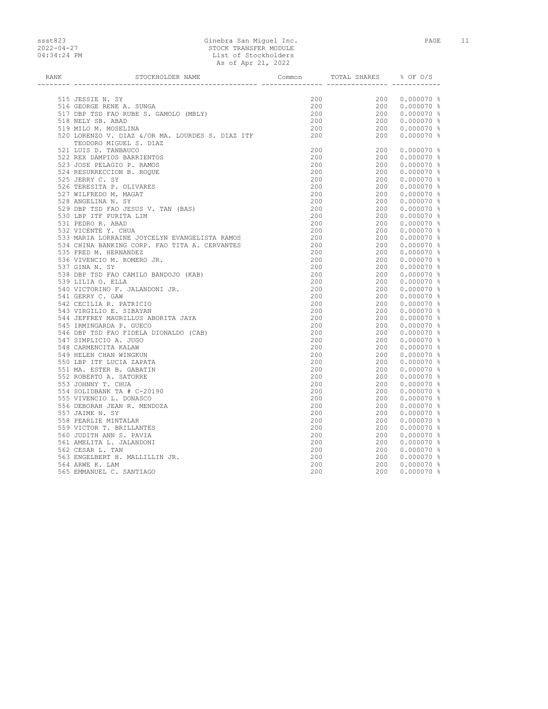### ssst823 Ginebra San Miguel Inc. PAGE 11 2022-04-27 STOCK TRANSFER MODULE 04:34:24 PM List of Stockholders As of Apr 21, 2022

| RANK | STOCKHOLDER NAME                                                           | Common            | TOTAL SHARES % OF O/S |                                                            |
|------|----------------------------------------------------------------------------|-------------------|-----------------------|------------------------------------------------------------|
|      |                                                                            |                   |                       |                                                            |
|      |                                                                            | 200               |                       |                                                            |
|      | 515 JESSIE N. SY                                                           | 200               |                       | $200$ 0.000070 %<br>200 0.000070 %                         |
|      | 516 GEORGE RENE A. SUNGA                                                   | 200               |                       |                                                            |
|      | 517 DBP TSD FAO RUBE S. GAMOLO (MBLY)                                      |                   |                       | $200$ 0.000070 %<br>$200$ 0.000070 %<br>$200$ 0.000070 %   |
|      | 518 NELY SB. ABAD                                                          | 200               |                       |                                                            |
|      | 519 MILO M. MOSELINA                                                       | 200               |                       | 200 0.000070 %                                             |
|      | 520 LORENZO V. DIAZ &/OR MA. LOURDES S. DIAZ ITF<br>TEODORO MIGUEL S. DIAZ | 200               | 200                   | $0.000070$ %                                               |
|      | 521 LUIS D. TANBAUCO                                                       | 200               |                       | 200 0.000070 %                                             |
|      | 522 REX DAMPIOS BARRIENTOS                                                 | 200               |                       | 200 0.000070 %                                             |
|      | 523 JOSE PELAGIO P. RAMOS                                                  | 200               |                       | 200 0.000070 %                                             |
|      | 524 RESURRECCION B. ROQUE                                                  | 200               |                       | 200 0.000070 %                                             |
|      | 525 JERRY C. SY                                                            | 200               |                       | 200 0.000070 %                                             |
|      | 526 TERESITA P. OLIVARES                                                   | 200               |                       | 200 0.000070 %                                             |
|      | 527 WILFREDO M. MAGAT                                                      | 200               |                       | 200 0.000070 %                                             |
|      | 528 ANGELINA N. SY                                                         | 200               |                       | $200$ 0.000070 $\frac{8}{3}$                               |
|      | 529 DBP TSD FAO JESUS V. TAN (BAS)                                         | 200               |                       | 200 0.000070 %                                             |
|      | 530 LBP ITF PURITA LIM                                                     | 200               |                       | 200 0.000070 %                                             |
|      | 531 PEDRO R. ABAD                                                          | 200               |                       | $200$ 0.000070 $\frac{3}{8}$<br>200 0.000070 $\frac{8}{8}$ |
|      | 532 VICENTE Y. CHUA                                                        | 200               |                       | 200 0.000070 %                                             |
|      | 533 MARIA LORRAINE JOYCELYN EVANGELISTA RAMOS                              | $\frac{200}{200}$ |                       | 200 0.000070 %                                             |
|      | 534 CHINA BANKING CORP. FAO TITA A. CERVANTES                              |                   |                       | 200 0.000070 %<br>200 0.000070 %<br>200 0.000070 %         |
|      | 535 FRED M. HERNANDEZ                                                      | 200               |                       |                                                            |
|      | 536 VIVENCIO M. ROMERO JR.                                                 | 200               |                       | 200 0.000070 %                                             |
|      | 537 GINA N. SY                                                             | 200               |                       | 200 0.000070 %                                             |
|      | 538 DBP TSD FAO CAMILO BANDOJO (KAB)                                       | 200               |                       | 200 0.000070 %                                             |
|      | 539 LILIA O. ELLA                                                          | 200               |                       | 200 0.000070 %                                             |
|      | 540 VICTORINO F. JALANDONI JR.                                             | 200               |                       | 200  0.000070  %                                           |
|      | 541 GERRY C. GAW                                                           | 200               |                       | 200  0.000070  %                                           |
|      | 542 CECILIA R. PATRICIO                                                    | 200               |                       | $200$ 0.000070 $\frac{200}{900}$                           |
|      | 543 VIRGILIO E. SIBAYAN                                                    | 200               |                       | 200 0.000070 %                                             |
|      | 544 JEFFREY MAURILLUS ABORITA JAYA                                         | 200               |                       | 200 0.000070 %                                             |
|      | 545 IRMINGARDA P. GUECO                                                    | 200               |                       | $200$ 0.000070 %<br>200 0.000070 %<br>200 0.000070 %       |
|      | 546 DBP TSD FAO FIDELA DIONALDO (CAB)                                      | 200               |                       | 200 0.000070 %                                             |
|      | 547 SIMPLICIO A. JUGO                                                      | 200               |                       | 200  0.000070  %                                           |
|      | 548 CARMENCITA KALAW                                                       | 200               |                       | 200 0.000070 %                                             |
|      | 549 HELEN CHAN WINGKUN                                                     | 200               |                       | 200  0.000070  %                                           |
|      | 550 LBP ITF LUCIA ZAPATA                                                   | 200               |                       | 200  0.000070  %                                           |
|      | 551 MA. ESTER B. GABATIN                                                   | 200               |                       | 200 0.000070 %                                             |
|      | 552 ROBERTO A. SATORRE                                                     | 200               |                       | 200 0.000070 %                                             |
|      | 553 JOHNNY T. CHUA                                                         | 200               |                       | 200  0.000070  %                                           |
|      | 554 SOLIDBANK TA # C-20190                                                 | 200               |                       | 200 0.000070 %                                             |
|      | 555 VIVENCIO L. DONASCO                                                    | 200               |                       | 200 0.000070 %                                             |
|      | 556 DEBORAH JEAN R. MENDOZA                                                | 200               |                       | $200$ 0.000070 $\frac{200}{200}$                           |
|      | 557 JAIME N. SY                                                            | 200               |                       | 200 0.000070 %                                             |
|      | 558 PEARLIE MINTALAR                                                       | 200               |                       | 200 0.000070 %                                             |
|      | 559 VICTOR T. BRILLANTES                                                   | 200               |                       | $200$ 0.000070 %                                           |
|      | 560 JUDITH ANN S. PAVIA                                                    | 200               |                       | 200 0.000070 %                                             |
|      | 561 AMELITA L. JALANDONI                                                   | 200               |                       | 200 0.000070 %                                             |
|      | 562 CESAR L. TAN                                                           | 200               |                       | 200 0.000070 %                                             |
|      | 563 ENGELBERT H. MALLILLIN JR.                                             | 200               |                       | 200 0.000070 %                                             |
|      | 564 ARWE K. LAM                                                            | 200               |                       | 200 0.000070 %                                             |
|      | 565 EMMANUEL C. SANTIAGO                                                   | 200               | 200                   | $0.000070$ %                                               |
|      |                                                                            |                   |                       |                                                            |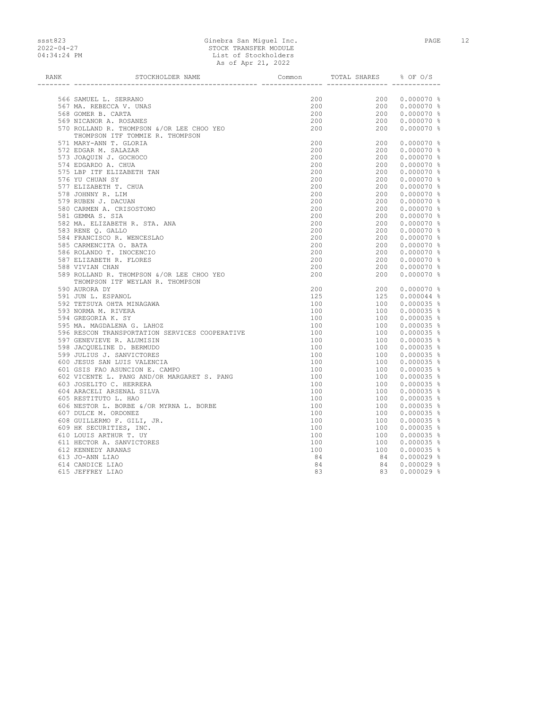### ssst823 Ginebra San Miguel Inc. PAGE 12 2022-04-27 STOCK TRANSFER MODULE 04:34:24 PM List of Stockholders As of Apr 21, 2022

| RANK | STOCKHOLDER NAME                                                                                                     | Common            | TOTAL SHARES                                                                                                                                                 | % OF 0/S                                                                                                                                                                                                                                                                          |
|------|----------------------------------------------------------------------------------------------------------------------|-------------------|--------------------------------------------------------------------------------------------------------------------------------------------------------------|-----------------------------------------------------------------------------------------------------------------------------------------------------------------------------------------------------------------------------------------------------------------------------------|
|      |                                                                                                                      |                   |                                                                                                                                                              |                                                                                                                                                                                                                                                                                   |
|      | 566 SAMUEL L. SERRANO                                                                                                | 200               | $\begin{array}{cccc} 200 & 0.000070&\$ \\ 200 & 0.000070&\$ \\ 200 & 0.000070&\$ \\ 200 & 0.000070&\$ \\ 200 & 0.000070&\$ \\ 200 & 0.000070&\$ \end{array}$ |                                                                                                                                                                                                                                                                                   |
|      |                                                                                                                      | 200               |                                                                                                                                                              |                                                                                                                                                                                                                                                                                   |
|      |                                                                                                                      | 200               |                                                                                                                                                              |                                                                                                                                                                                                                                                                                   |
|      | 567 MA. REBECCA V. UNAS<br>568 GOMER B. CARTA<br>569 NICANOR A. ROSANES<br>570 ROLLAND R. THOMPSON &/OR LEE CHOO YEO | 200               |                                                                                                                                                              |                                                                                                                                                                                                                                                                                   |
|      |                                                                                                                      | 200               |                                                                                                                                                              |                                                                                                                                                                                                                                                                                   |
|      | THOMPSON ITF TOMMIE R. THOMPSON                                                                                      |                   |                                                                                                                                                              |                                                                                                                                                                                                                                                                                   |
|      | 571 MARY-ANN T. GLORIA                                                                                               | 200               | 200 0.000070 %                                                                                                                                               |                                                                                                                                                                                                                                                                                   |
|      | 572 EDGAR M. SALAZAR                                                                                                 | 200               |                                                                                                                                                              | 200  0.000070  %                                                                                                                                                                                                                                                                  |
|      | 573 JOAQUIN J. GOCHOCO                                                                                               | 200               |                                                                                                                                                              |                                                                                                                                                                                                                                                                                   |
|      | 574 EDGARDO A. CHUA                                                                                                  | 200               |                                                                                                                                                              |                                                                                                                                                                                                                                                                                   |
|      | 575 LBP ITF ELIZABETH TAN                                                                                            | 200               |                                                                                                                                                              | $200$ 0.00070 %<br>$200$ 0.00070 %<br>$200$ 0.00070 %<br>$200$ 0.00070 %<br>$200$ 0.00070 %<br>$200$ 0.00070 %<br>$200$ 0.00070 %<br>$200$ 0.00070 %<br>$200$ 0.00070 %<br>$200$ 0.00070 %<br>$200$ 0.00070 %                                                                     |
|      | 576 YU CHUAN SY                                                                                                      | 200               |                                                                                                                                                              |                                                                                                                                                                                                                                                                                   |
|      | 577 ELIZABETH T. CHUA                                                                                                | 200               |                                                                                                                                                              |                                                                                                                                                                                                                                                                                   |
|      | 578 JOHNNY R. LIM                                                                                                    | 200               |                                                                                                                                                              |                                                                                                                                                                                                                                                                                   |
|      | 579 RUBEN J. DACUAN                                                                                                  | 200               |                                                                                                                                                              |                                                                                                                                                                                                                                                                                   |
|      | 580 CARMEN A. CRISOSTOMO                                                                                             | 200               |                                                                                                                                                              |                                                                                                                                                                                                                                                                                   |
|      | 581 GEMMA S. SIA                                                                                                     | 200               |                                                                                                                                                              | $200$ 0.000070 %<br>200 0.000070 %<br>200 0.000070 %                                                                                                                                                                                                                              |
|      | 582 MA. ELIZABETH R. STA. ANA                                                                                        | $\frac{200}{200}$ |                                                                                                                                                              |                                                                                                                                                                                                                                                                                   |
|      | 583 RENE Q. GALLO                                                                                                    | 200               |                                                                                                                                                              |                                                                                                                                                                                                                                                                                   |
|      | 584 FRANCISCO R. WENCESLAO                                                                                           | 200               |                                                                                                                                                              |                                                                                                                                                                                                                                                                                   |
|      | 585 CARMENCITA O. BATA                                                                                               | 200               |                                                                                                                                                              | $200$ 0.000070 %<br>$200$ 0.000070 %<br>$200$ 0.000070 %<br>$200$ 0.000070 %<br>$200$ 0.000070 %                                                                                                                                                                                  |
|      | 586 ROLANDO T. INOCENCIO                                                                                             | 200               |                                                                                                                                                              |                                                                                                                                                                                                                                                                                   |
|      | 587 ELIZABETH R. FLORES                                                                                              | 200               |                                                                                                                                                              |                                                                                                                                                                                                                                                                                   |
|      | 588 VIVIAN CHAN                                                                                                      | 200               |                                                                                                                                                              | 200 0.000070 %                                                                                                                                                                                                                                                                    |
|      | 589 ROLLAND R. THOMPSON &/OR LEE CHOO YEO                                                                            | 200               | 200                                                                                                                                                          | $0.000070$ %                                                                                                                                                                                                                                                                      |
|      | THOMPSON ITF WEYLAN R. THOMPSON                                                                                      |                   |                                                                                                                                                              |                                                                                                                                                                                                                                                                                   |
|      | 590 AURORA DY                                                                                                        | 200               |                                                                                                                                                              | 200  0.000070  %                                                                                                                                                                                                                                                                  |
|      | 591 JUN L. ESPANOL                                                                                                   | 125               |                                                                                                                                                              |                                                                                                                                                                                                                                                                                   |
|      | 592 TETSUYA OHTA MINAGAWA                                                                                            | 100               |                                                                                                                                                              |                                                                                                                                                                                                                                                                                   |
|      | 593 NORMA M. RIVERA                                                                                                  | 100               |                                                                                                                                                              |                                                                                                                                                                                                                                                                                   |
|      | 594 GREGORIA K. SY                                                                                                   | 100               |                                                                                                                                                              |                                                                                                                                                                                                                                                                                   |
|      | 595 MA. MAGDALENA G. LAHOZ                                                                                           | 100               |                                                                                                                                                              |                                                                                                                                                                                                                                                                                   |
|      | 596 RESCON TRANSPORTATION SERVICES COOPERATIVE                                                                       | 100               |                                                                                                                                                              |                                                                                                                                                                                                                                                                                   |
|      | 597 GENEVIEVE R. ALUMISIN                                                                                            | 100               |                                                                                                                                                              |                                                                                                                                                                                                                                                                                   |
|      | 598 JACQUELINE D. BERMUDO                                                                                            | 100               |                                                                                                                                                              |                                                                                                                                                                                                                                                                                   |
|      | 599 JULIUS J. SANVICTORES                                                                                            | 100               |                                                                                                                                                              |                                                                                                                                                                                                                                                                                   |
|      | 600 JESUS SAN LUIS VALENCIA                                                                                          | 100               |                                                                                                                                                              |                                                                                                                                                                                                                                                                                   |
|      | 601 GSIS FAO ASUNCION E. CAMPO                                                                                       | 100               |                                                                                                                                                              |                                                                                                                                                                                                                                                                                   |
|      | 602 VICENTE L. PANG AND/OR MARGARET S. PANG                                                                          | $\frac{100}{100}$ |                                                                                                                                                              |                                                                                                                                                                                                                                                                                   |
|      | 603 JOSELITO C. HERRERA                                                                                              | 100               |                                                                                                                                                              |                                                                                                                                                                                                                                                                                   |
|      | 604 ARACELI ARSENAL SILVA                                                                                            | 100               |                                                                                                                                                              |                                                                                                                                                                                                                                                                                   |
|      | 605 RESTITUTO L. HAO                                                                                                 | 100               |                                                                                                                                                              |                                                                                                                                                                                                                                                                                   |
|      | 606 NESTOR L. BORBE &/OR MYRNA L. BORBE                                                                              | 100               |                                                                                                                                                              |                                                                                                                                                                                                                                                                                   |
|      | 607 DULCE M. ORDONEZ                                                                                                 | 100               |                                                                                                                                                              |                                                                                                                                                                                                                                                                                   |
|      | 608 GUILLERMO F. GILI, JR.                                                                                           | 100               |                                                                                                                                                              |                                                                                                                                                                                                                                                                                   |
|      | 609 HK SECURITIES, INC.                                                                                              | 100               |                                                                                                                                                              |                                                                                                                                                                                                                                                                                   |
|      | 610 LOUIS ARTHUR T. UY                                                                                               | 100               |                                                                                                                                                              |                                                                                                                                                                                                                                                                                   |
|      | 611 HECTOR A. SANVICTORES                                                                                            | 100               |                                                                                                                                                              |                                                                                                                                                                                                                                                                                   |
|      | 612 KENNEDY ARANAS                                                                                                   | 100               |                                                                                                                                                              |                                                                                                                                                                                                                                                                                   |
|      | 613 JO-ANN LIAO                                                                                                      | 84                |                                                                                                                                                              |                                                                                                                                                                                                                                                                                   |
|      | 614 CANDICE LIAO                                                                                                     | 84                |                                                                                                                                                              |                                                                                                                                                                                                                                                                                   |
|      | 615 JEFFREY LIAO                                                                                                     | 83                | 83                                                                                                                                                           | $\begin{array}{cccc} 200 & 0.000070& 8\\ 125 & 0.000044& 8\\ 100 & 0.000035& 8\\ 100 & 0.000035& 8\\ 100 & 0.000035& 8\\ 100 & 0.000035& 8\\ 100 & 0.000035& 8\\ 100 & 0.000035& 8\\ 100 & 0.000035& 8\\ 100 & 0.000035& 8\\ 100 & 0.000035& 8\\ 100 & 0.000035&$<br>$0.000029$ % |
|      |                                                                                                                      |                   |                                                                                                                                                              |                                                                                                                                                                                                                                                                                   |